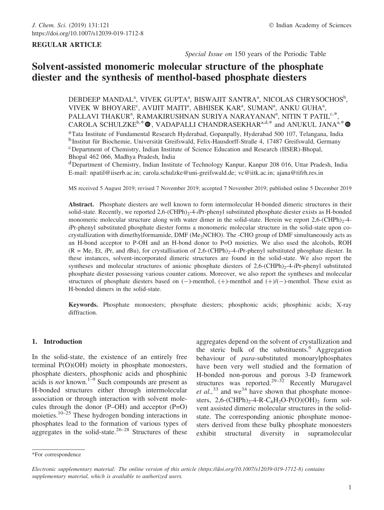# REGULAR ARTICLE

Special Issue on 150 years of the Periodic Table

# Solvent-assisted monomeric molecular structure of the phosphate diester and the synthesis of menthol-based phosphate diesters

DEBDEEP MANDAL<sup>a</sup>, VIVEK GUPTA<sup>a</sup>, BISWAJIT SANTRA<sup>a</sup>, NICOLAS CHRYSOCHOS<sup>b</sup>, VIVEK W BHOYARE<sup>c</sup>, AVIJIT MAITI<sup>a</sup>, ABHISEK KAR<sup>a</sup>, SUMAN<sup>a</sup>, ANKU GUHA<sup>a</sup>, PALLAVI THAKUR<sup>a</sup>, RAMAKIRUSHNAN SURIYA NARAYANAN<sup>a</sup>, NITIN T PATIL<sup>c,\*</sup>, CAROLA SCHULZKE<sup>b,\*</sup>  $\bullet$ , VADAPALLI CHANDRASEKHAR<sup>a,d,\*</sup> and ANUKUL JANA<sup>a,\*</sup> aTata Institute of Fundamental Research Hyderabad, Gopanpally, Hyderabad 500 107, Telangana, India <sup>b</sup>Institut für Biochemie, Universität Greifswald, Felix-Hausdorff-Straße 4, 17487 Greifswald, Germany <sup>c</sup>Department of Chemistry, Indian Institute of Science Education and Research (IISER)-Bhopal, Bhopal 462 066, Madhya Pradesh, India

<sup>d</sup>Department of Chemistry, Indian Institute of Technology Kanpur, Kanpur 208 016, Uttar Pradesh, India E-mail: npatil@iiserb.ac.in; carola.schulzke@uni-greifswald.de; vc@iitk.ac.in; ajana@tifrh.res.in

MS received 5 August 2019; revised 7 November 2019; accepted 7 November 2019; published online 5 December 2019

Abstract. Phosphate diesters are well known to form intermolecular H-bonded dimeric structures in their solid-state. Recently, we reported  $2.6$ -(CHPh)<sub>2</sub>-4-iPr-phenyl substituted phosphate diester exists as H-bonded monomeric molecular structure along with water dimer in the solid-state. Herein we report  $2.6-(CHPh)<sub>2</sub>-4$ iPr-phenyl substituted phosphate diester forms a monomeric molecular structure in the solid-state upon cocrystallization with dimethylformamide,  $DMF$  (Me<sub>2</sub>NCHO). The -CHO group of DMF simultaneously acts as an H-bond acceptor to P-OH and an H-bond donor to P=O moieties. We also used the alcohols, ROH  $(R = Me, Et, iPr, and tBu)$ , for crystallisation of 2,6-(CHPh)<sub>2</sub>-4-iPr-phenyl substituted phosphate diester. In these instances, solvent-incorporated dimeric structures are found in the solid-state. We also report the syntheses and molecular structures of anionic phosphate diesters of  $2,6-(CHPh)<sub>2</sub>-4-iPr-phenyl$  substituted phosphate diester possessing various counter cations. Moreover, we also report the syntheses and molecular structures of phosphate diesters based on  $(-)$ -menthol,  $(+)$ -menthol and  $(+)/(-)$ -menthol. These exist as H-bonded dimers in the solid-state.

Keywords. Phosphate monoesters; phosphate diesters; phosphonic acids; phosphinic acids; X-ray diffraction.

# 1. Introduction

In the solid-state, the existence of an entirely free terminal P(O)(OH) moiety in phosphate monoesters, phosphate diesters, phosphonic acids and phosphinic acids is *not* known.<sup>1–9</sup> Such compounds are present as H-bonded structures either through intermolecular association or through interaction with solvent molecules through the donor  $(P-OH)$  and acceptor  $(P=O)$ moieties.<sup>10–25</sup> These hydrogen bonding interactions in phosphates lead to the formation of various types of aggregates in the solid-state.<sup>26–28</sup> Structures of these

aggregates depend on the solvent of crystallization and the steric bulk of the substituents. $6$  Aggregation behaviour of para-substituted monoarylphosphates have been very well studied and the formation of H-bonded non-porous and porous 3-D framework structures was reported.<sup>29–32</sup> Recently Murugavel *et al.*,<sup>33</sup> and we<sup>34</sup> have shown that phosphate monoesters,  $2,6-(CHPh)_{2}-4-R-C_{6}H_{2}O-P(O)(OH)_{2}$  form solvent assisted dimeric molecular structures in the solidstate. The corresponding anionic phosphate monoesters derived from these bulky phosphate monoesters exhibit structural diversity in supramolecular

<sup>\*</sup>For correspondence

Electronic supplementary material: The online version of this article (https://doi.org/10.1007/s12039-019-1712-8) contains supplementary material, which is available to authorized users.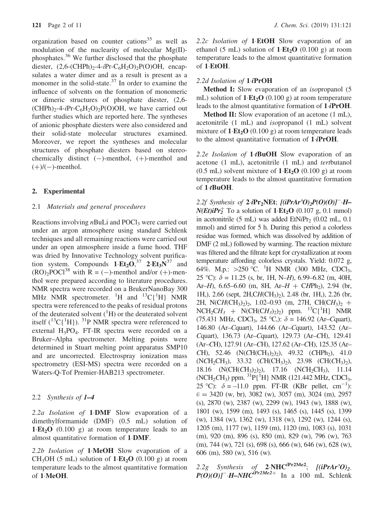organization based on counter cations $35$  as well as modulation of the nuclearity of molecular Mg(II) phosphates.36 We further disclosed that the phosphate diester,  $(2,6-(CHPh)<sub>2</sub>-4-iPr-C<sub>6</sub>H<sub>2</sub>O)<sub>2</sub>P(O)OH$ , encapsulates a water dimer and as a result is present as a monomer in the solid-state.<sup>37</sup> In order to examine the influence of solvents on the formation of monomeric or dimeric structures of phosphate diester, (2,6-  $(CHPh)_{2}$ -4-iPr-C<sub>6</sub>H<sub>2</sub>O)<sub>2</sub>P(O)OH, we have carried out further studies which are reported here. The syntheses of anionic phosphate diesters were also considered and their solid-state molecular structures examined. Moreover, we report the syntheses and molecular structures of phosphate diesters based on stereochemically distinct  $(-)$ -menthol,  $(+)$ -menthol and  $(+)/(-)$ -menthol.

## 2. Experimental

### 2.1 Materials and general procedures

Reactions involving  $n$ BuLi and POCl<sub>3</sub> were carried out under an argon atmosphere using standard Schlenk techniques and all remaining reactions were carried out under an open atmosphere inside a fume hood. THF was dried by Innovative Technology solvent purification system. Compounds  $1 \text{ Et}_2\text{O}^{37}$   $2 \text{ Et}_3\text{N}^{37}$  and  $(RO)_{2}POCl^{38}$  with  $R = (-)$ -menthol and/or  $(+)$ -menthol were prepared according to literature procedures. NMR spectra were recorded on a BrukerNanoBay 300 MHz NMR spectrometer. <sup>1</sup>H and <sup>13</sup>C{<sup>1</sup>H} NMR spectra were referenced to the peaks of residual protons of the deuterated solvent  $({}^{1}H)$  or the deuterated solvent itself  $(^{13}C(^{1}H))$ . <sup>31</sup>P NMR spectra were referenced to external  $H_3PO_4$ . FT-IR spectra were recorded on a Bruker–Alpha spectrometer. Melting points were determined in Stuart melting point apparatus SMP10 and are uncorrected. Electrospray ionization mass spectrometry (ESI-MS) spectra were recorded on a Waters-Q-Tof Premier-HAB213 spectrometer.

### 2.2 Synthesis of 1–4

2.2a Isolation of 1-DMF Slow evaporation of a dimethylformamide (DMF) (0.5 mL) solution of  $1 \text{ E}t_2$ O (0.100 g) at room temperature leads to an almost quantitative formation of 1-DMF.

2.2b Isolation of 1 MeOH Slow evaporation of a  $CH_3OH$  (5 mL) solution of  $1 \text{·} Et_2O$  (0.100 g) at room temperature leads to the almost quantitative formation of 1-MeOH.

2.2c Isolation of 1 EtOH Slow evaporation of an ethanol (5 mL) solution of  $1 \text{ E}t_2O$  (0.100 g) at room temperature leads to the almost quantitative formation of 1-EtOH.

# 2.2d Isolation of 1 iPrOH

Method I: Slow evaporation of an *isopropanol* (5 mL) solution of  $1 \text{ E}t_2O$  (0.100 g) at room temperature leads to the almost quantitative formation of  $1$  *i*PrOH.

Method II: Slow evaporation of an acetone  $(1 \text{ mL})$ , acetonitrile (1 mL) and isopropanol (1 mL) solvent mixture of  $1 \text{ Et}_2\text{O}$  (0.100 g) at room temperature leads to the almost quantitative formation of  $1$  *iPrOH*.

2.2e Isolation of 1 tBuOH Slow evaporation of an acetone (1 mL), acetonitrile (1 mL) and tertbutanol  $(0.5 \text{ mL})$  solvent mixture of  $1 \text{ Et}_2O$   $(0.100 \text{ g})$  at room temperature leads to the almost quantitative formation of  $1$  t**BuOH**.

2.2f Synthesis of 2 iPr<sub>2</sub>NEt;  $[(iPrAr'O)_2P(O)(O)]^-$  H- $N(Et)iPr<sub>2</sub><sup>+</sup>$  To a solution of  $1 \text{ Et<sub>2</sub>O}$  (0.107 g, 0.1 mmol) in acetonitrile  $(5 \text{ mL})$  was added EtNiPr<sub>2</sub>  $(0.02 \text{ mL}, 0.1)$ mmol) and stirred for 5 h. During this period a colorless residue was formed, which was dissolved by addition of DMF (2 mL) followed by warming. The reaction mixture was filtered and the filtrate kept for crystallization at room temperature affording colorless crystals. Yield: 0.072 g, 64%. M.p.: >250 °C. <sup>1</sup>H NMR (300 MHz, CDCl<sub>3</sub>, 25 °C):  $\delta = 11.25$  (s, br, 1H, N–H), 6.99–6.82 (m, 40H, Ar–H), 6.65–6.60 (m, 8H, Ar– $H$  + CHPh<sub>2</sub>), 2.94 (br, 1H,), 2.66 (sept, 2H,CH(CH<sub>3</sub>)<sub>2</sub>), 2.48 (br, 1H,), 2.26 (br, 2H, N(CH(CH<sub>3</sub>)<sub>2</sub>)<sub>2</sub>, 1.02–0.93 (m, 27H, CH(CH<sub>3</sub>)<sub>2</sub> +  $NCH_2CH_3 + N(CH(CH_3)_2)_2$  ppm. <sup>13</sup>C{<sup>1</sup>H} NMR (75.431 MHz, CDCl<sub>3</sub>, 25 °C,):  $\delta = 146.92$  (Ar–Cquart), 146.80 (Ar–Cquart), 144.66 (Ar–Cquart), 143.52 (Ar– Cquart), 136.73 (Ar–Cquart), 129.73 (Ar–CH), 129.41 (Ar–CH), 127.91 (Ar–CH), 127.62 (Ar–CH), 125.35 (Ar– CH), 52.46 (N(CH(CH<sub>3</sub>)<sub>2</sub>)<sub>2</sub>), 49.32 (CHPh<sub>2</sub>), 41.0  $(NCH_2CH_3)$ , 33.32  $(CH(CH_3)_2)$ , 23.98  $(CH(CH_3)_2)$ , 18.16 (N(CH(CH<sub>3</sub>)<sub>2</sub>)<sub>2</sub>), 17.16 (NCH<sub>2</sub>CH<sub>3</sub>), 11.14  $(NCH_2CH_3)$  ppm.  ${}^{31}P\{{}^{1}H\}$  NMR (121.442 MHz, CDCl<sub>3</sub>, 25 °C):  $\delta = -11.0$  ppm. FT-IR (KBr pellet, cm<sup>-1</sup>):  $\bar{v} = 3420$  (w, br),  $3082$  (w),  $3057$  (m),  $3024$  (m), 2957 (s), 2870 (w), 2387 (w), 2299 (w), 1943 (w), 1888 (w), 1801 (w), 1599 (m), 1493 (s), 1465 (s), 1445 (s), 1399 (w), 1384 (w), 1362 (w), 1318 (w), 1292 (w), 1244 (s), 1205 (m), 1177 (w), 1159 (m), 1120 (m), 1083 (s), 1031 (m), 920 (m), 896 (s), 850 (m), 829 (w), 796 (w), 763 (m), 744 (w), 721 (s), 698 (s), 666 (w), 646 (w), 628 (w), 606 (m), 580 (w), 516 (w).

2.2g Synthesis of 2-NHC<sup>iPr2Me2</sup>;  $[(iPrAr'O)<sub>2</sub>]$  $P(O)(O)$ <sup>-</sup>H-NHC<sup>iPr2Me2+</sup> In a 100 mL Schlenk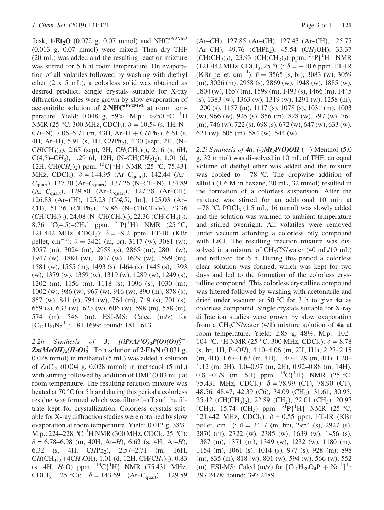flask,  $1 \text{ E}t_2O$  (0.072 g, 0.07 mmol) and NHC<sup>*i*Pr2Me2</sup> (0.013 g, 0.07 mmol) were mixed. Then dry THF (20 mL) was added and the resulting reaction mixture was stirred for 5 h at room temperature. On evaporation of all volatiles followed by washing with diethyl ether (2 x 5 mL), a colorless solid was obtained as desired product. Single crystals suitable for X-ray diffraction studies were grown by slow evaporation of acetonitrile solution of  $2 \text{~NHC}^{\text{iPr2Me2}}$  at room temperature. Yield: 0.048 g, 59%. M.p.: >250 °C. <sup>1</sup>H NMR (25 °C, 300 MHz, CDCl<sub>3</sub>):  $\delta = 10.54$  (s, 1H, N– CH–N), 7.06–6.71 (m, 43H, Ar–H + CHPh<sub>2</sub>), 6.61 (s, 4H, Ar–H), 5.91 (s, 1H, CHPh<sub>2</sub>), 4.30 (sept, 2H, (N–  $CH(CH<sub>3</sub>)<sub>2</sub>$ ), 2.65 (sept, 2H,  $CH(CH<sub>3</sub>)<sub>2</sub>$ ), 2.16 (s, 6H, C(4,5)–CH<sub>3</sub>), 1.29 (d, 12H, (N–CH(CH<sub>3</sub>)<sub>2</sub>), 1.01 (d, 12H, CH(CH<sub>3</sub>)<sub>2</sub>) ppm. <sup>13</sup>C{<sup>1</sup>H} NMR (25 °C, 75.431 MHz, CDCl<sub>3</sub>):  $\delta = 144.95$  (Ar–C<sub>quart</sub>), 142.44 (Ar–  $C_{\text{quart}}$ ), 137.30 (Ar– $C_{\text{quart}}$ ), 137.26 (N–CH–N), 134.89  $(Ar-C_{quart})$ , 129.80  $(Ar-C_{quart})$ , 127.38  $(Ar-CH)$ , 126.83 (Ar–CH), 125.23 [C(4,5), Im], 125.03 (Ar– CH), 51.36 (CHPh<sub>2</sub>), 49.86 (N–CH(CH<sub>3</sub>)<sub>2</sub>), 33.36  $(CH(CH<sub>3</sub>)<sub>2</sub>), 24.08 (N-CH(CH<sub>3</sub>)<sub>2</sub>), 22.36 (CH(CH<sub>3</sub>)<sub>2</sub>),$ 8.76 [C(4,5)–CH<sub>3</sub>] ppm. <sup>31</sup>P{<sup>1</sup>H} NMR (25 °C, 121.442 MHz, CDCl<sub>3</sub>):  $\delta = -9.2$  ppm. FT-IR (KBr pellet, cm<sup>-1</sup>):  $\bar{v} = 3421$  (m, br), 3117 (w), 3081 (w), 3057 (m), 3024 (m), 2958 (s), 2865 (m), 2801 (w), 1947 (w), 1884 (w), 1807 (w), 1629 (w), 1599 (m), 1581 (w), 1555 (m), 1493 (s), 1464 (s), 1445 (s), 1393 (w), 1379 (w), 1359 (w), 1319 (w), 1289 (w), 1249 (s), 1202 (m), 1156 (m), 1118 (s), 1096 (s), 1030 (m), 1002 (w), 986 (w), 967 (w), 916 (w), 890 (m), 878 (s), 857 (w), 841 (s), 794 (w), 764 (m), 719 (s), 701 (s), 659 (s), 633 (w), 623 (w), 606 (w), 598 (m), 588 (m), 574 (m), 546 (m). ESI-MS: Calcd (m/z) for  $[C_{11}H_{21}N_2^+]$ : 181.1699; found: 181.1613.

2.2h Synthesis of 3;  $[(iPrAr'O)_2P(O)(O)]_2^2$ .  $\text{Zn}(MeOH)_{4}(H_{2}O)_{2}^{2+}$  To a solution of 2 Et<sub>3</sub>N (0.031 g, 0.028 mmol) in methanol (5 mL) was added a solution of  $ZnCl<sub>2</sub>$  (0.004 g, 0.028 mmol) in methanol (5 mL) with stirring followed by addition of DMF (0.03 mL) at room temperature. The resulting reaction mixture was heated at 70  $\degree$ C for 5 h and during this period a colorless residue was formed which was filtered-off and the filtrate kept for crystallization. Colorless crystals suitable for X-ray diffraction studies were obtained by slow evaporation at room temperature. Yield: 0.012 g, 38%. M.p.: 224–228 °C. <sup>1</sup>H NMR (300 MHz, CDCl<sub>3</sub>, 25 °C):  $\delta = 6.78 - 6.98$  (m, 40H, Ar–H), 6.62 (s, 4H, Ar–H), 6.32 (s, 4H, CHPh<sub>2</sub>), 2.57–2.71 (m, 16H,  $CH(CH<sub>3</sub>)<sub>2</sub>+4CH<sub>3</sub>OH)$ , 1.01 (d, 12H, CH(CH<sub>3</sub>)<sub>2</sub>), 0.83 (s, 4H,  $H_2O$ ) ppm. <sup>13</sup>C{<sup>1</sup>H} NMR (75.431 MHz, CDCl<sub>3</sub>, 25 °C):  $\delta = 143.69$  (Ar–C<sub>quart</sub>), 129.59 (Ar–CH), 127.85 (Ar–CH), 127.43 (Ar–CH), 125.75  $(Ar–CH)$ , 49.76  $(CHPh<sub>2</sub>)$ , 45.54  $(CH<sub>3</sub>OH)$ , 33.37  $(CH(CH_3)_2)$ , 23.93 (CH(CH<sub>3</sub>)<sub>2</sub>) ppm. <sup>31</sup>P{<sup>1</sup>H} NMR  $(121.442 \text{ MHz}, \text{CDCl}_3, 25 \text{ °C})$ :  $\delta = -10.6 \text{ ppm}$ . FT-IR (KBr pellet, cm<sup>-1</sup>):  $\bar{v} = 3565$  (s, br),  $3083$  (w),  $3059$ (m), 3026 (m), 2958 (s), 2869 (w), 1948 (w), 1885 (w), 1804 (w), 1657 (m), 1599 (m), 1493 (s), 1466 (m), 1445 (s), 1383 (w), 1363 (w), 1319 (w), 1291 (w), 1258 (m), 1200 (s), 1157 (m), 1117 (s), 1078 (s), 1031 (m), 1003 (w), 966 (w), 925 (s), 856 (m), 828 (w), 797 (w), 761 (m), 746 (w), 722 (s), 698 (s), 672 (w), 647 (w), 633 (w), 621 (w), 605 (m), 584 (w), 544 (w).

2.2i Synthesis of  $4a$ ; (-) $Mt_2P(O)OH$  (-)-Menthol (5.0) g, 32 mmol) was dissolved in 10 mL of THF; an equal volume of diethyl ether was added and the mixture was cooled to  $-78$  °C. The dropwise addition of nBuLi (1.6 M in hexane, 20 mL, 32 mmol) resulted in the formation of a colorless suspension. After the mixture was stirred for an additional 10 min at  $-78$  °C, POCl<sub>3</sub> (1.5 mL, 16 mmol) was slowly added and the solution was warmed to ambient temperature and stirred overnight. All volatiles were removed under vacuum affording a colorless oily compound with LiCl. The resulting reaction mixture was dissolved in a mixture of  $CH<sub>3</sub>CN/water$  (40 mL/10 mL) and refluxed for 6 h. During this period a colorless clear solution was formed, which was kept for two days and led to the formation of the colorless crystalline compound. This colorless crystalline compound was filtered followed by washing with acetonitrile and dried under vacuum at 50  $^{\circ}$ C for 3 h to give 4a as colorless compound. Single crystals suitable for X-ray diffraction studies were grown by slow evaporation from a CH<sub>3</sub>CN/water  $(4/1)$  mixture solution of **4a** at room temperature. Yield: 2.85 g, 48%. M.p.: 102– 104 °C. <sup>1</sup>H NMR (25 °C, 300 MHz, CDCl<sub>3</sub>):  $\delta = 8.78$ (s, br, 1H, P–OH), 4.10–4.06 (m, 2H, H1), 2.27–2.15 (m, 4H), 1.67–1.63 (m, 4H), 1.40–1.29 (m, 4H), 1.20– 1.12 (m, 2H), 1.0–0.97 (m, 2H), 0.92–0.88 (m, 14H), 0.81–0.79 (m, 6H) ppm.  ${}^{13}C[{^1}H]$  NMR (25 °C, 75.431 MHz, CDCl<sub>3</sub>):  $\delta = 78.99$  (C1), 78.90 (C1), 48.56, 48.47, 42.39 (C6), 34.09 (CH<sub>2</sub>), 31.61, 30.95, 25.42 (CH(CH<sub>3</sub>)<sub>2</sub>), 22.89 (CH<sub>2</sub>), 22.01 (CH<sub>3</sub>), 20.97 (CH<sub>3</sub>), 15.74 (CH<sub>3</sub>) ppm. <sup>31</sup>P{<sup>1</sup>H} NMR (25 °C, 121.442 MHz, CDCl<sub>3</sub>):  $\delta = 0.55$  ppm. FT-IR (KBr pellet, cm<sup>-1</sup>):  $\bar{v} = 3417$  (m, br), 2954 (s), 2927 (s), 2870 (m), 2722 (w), 2385 (w), 1639 (w), 1456 (s), 1387 (m), 1371 (m), 1349 (w), 1232 (w), 1180 (m), 1154 (m), 1061 (s), 1014 (s), 977 (s), 928 (m), 898 (m), 835 (m), 818 (w), 801 (w), 594 (w), 566 (w), 552 (m). ESI-MS: Calcd (m/z) for  $[C_{20}H_{39}O_4P + Na^+]^+$ : 397.2478; found: 397.2489.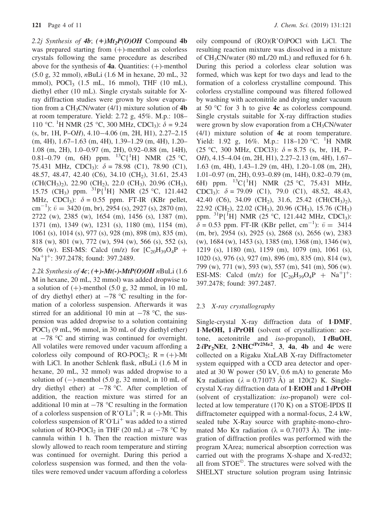2.2j Synthesis of  $4b$ ; (+)Mt<sub>2</sub>P(O)OH Compound 4b was prepared starting from  $(+)$ -menthol as colorless crystals following the same procedure as described above for the synthesis of  $4a$ . Quantities:  $(+)$ -menthol (5.0 g, 32 mmol), nBuLi (1.6 M in hexane, 20 mL, 32 mmol),  $POCl<sub>3</sub>$  (1.5 mL, 16 mmol), THF (10 mL), diethyl ether (10 mL). Single crystals suitable for Xray diffraction studies were grown by slow evaporation from a  $CH_3CN/water$  (4/1) mixture solution of 4b at room temperature. Yield: 2.72 g, 45%. M.p.: 108– 110 °C. <sup>1</sup>H NMR (25 °C, 300 MHz, CDCl<sub>3</sub>):  $\hat{\delta} = 9.24$ (s, br, 1H, P–OH), 4.10-4.06 (m, 2H, H1), 2.27–2.15 (m, 4H), 1.67–1.63 (m, 4H), 1.39–1.29 (m, 4H), 1.20– 1.08 (m, 2H), 1.0–0.97 (m, 2H), 0.92–0.88 (m, 14H), 0.81–0.79 (m, 6H) ppm.  ${}^{13}C[{^1H}]$  NMR (25 °C, 75.431 MHz, CDCl<sub>3</sub>):  $\delta = 78.98$  (C1), 78.90 (C1), 48.57, 48.47, 42.40 (C6), 34.10 (CH<sub>2</sub>), 31.61, 25.43  $(CH(CH_3)_2)$ , 22.90 (CH<sub>2</sub>), 22.0 (CH<sub>3</sub>), 20.96 (CH<sub>3</sub>), 15.75 (CH<sub>3</sub>) ppm. <sup>31</sup>P{<sup>1</sup>H} NMR (25 °C, 121.442) MHz, CDCl<sub>3</sub>):  $\delta = 0.55$  ppm. FT-IR (KBr pellet, cm<sup>-1</sup>):  $\bar{v} = 3420$  (m, br), 2954 (s), 2927 (s), 2870 (m), 2722 (w), 2385 (w), 1654 (m), 1456 (s), 1387 (m), 1371 (m), 1349 (w), 1231 (s), 1180 (m), 1154 (m), 1061 (s), 1014 (s), 977 (s), 928 (m), 898 (m), 835 (m), 818 (w), 801 (w), 772 (w), 594 (w), 566 (s), 552 (s), 506 (w). ESI-MS: Calcd (m/z) for  $[C_{20}H_{39}O_4P +$  $Na<sup>+</sup>]$ : 397.2478; found: 397.2489.

2.2k Synthesis of  $4c$ ; (+)-Mt(-)-MtP(O)OH nBuLi (1.6 M in hexane, 20 mL, 32 mmol) was added dropwise to a solution of  $(+)$ -menthol (5.0 g, 32 mmol, in 10 mL of dry diethyl ether) at  $-78$  °C resulting in the formation of a colorless suspension. Afterwards it was stirred for an additional 10 min at  $-78$  °C, the suspension was added dropwise to a solution containing POCl<sub>3</sub> (9 mL, 96 mmol, in 30 mL of dry diethyl ether) at  $-78$  °C and stirring was continued for overnight. All volatiles were removed under vacuum affording a colorless oily compound of RO-POCl<sub>2</sub>;  $R = (+)$ -Mt with LiCl. In another Schlenk flask, *nBuLi* (1.6 M in hexane, 20 mL, 32 mmol) was added dropwise to a solution of  $(-)$ -menthol  $(5.0 \text{ g}, 32 \text{ mmol}, \text{in } 10 \text{ mL of})$ dry diethyl ether) at  $-78$  °C. After completion of addition, the reaction mixture was stirred for an additional 10 min at  $-78$  °C resulting in the formation of a colorless suspension of  $R'O'Li^+$ ;  $R = (-)$ -Mt. This colorless suspension of  $R'OLi^+$  was added to a stirred solution of RO-POCl<sub>2</sub> in THF (20 mL) at  $-78$  °C by cannula within 1 h. Then the reaction mixture was slowly allowed to reach room temperature and stirring was continued for overnight. During this period a colorless suspension was formed, and then the volatiles were removed under vacuum affording a colorless oily compound of (RO)(R'O)POCl with LiCl. The resulting reaction mixture was dissolved in a mixture of  $CH_3CN/water$  (80 mL/20 mL) and refluxed for 6 h. During this period a colorless clear solution was formed, which was kept for two days and lead to the formation of a colorless crystalline compound. This colorless crystalline compound was filtered followed by washing with acetonitrile and drying under vacuum at 50  $\degree$ C for 3 h to give 4c as colorless compound. Single crystals suitable for X-ray diffraction studies were grown by slow evaporation from a  $CH<sub>3</sub>CN/water$ (4/1) mixture solution of 4c at room temperature. Yield: 1.92 g, 16%. M.p.: 118-120 °C. <sup>1</sup>H NMR (25 °C, 300 MHz, CDCl3):  $\delta = 8.75$  (s, br, 1H, P– OH), 4.15–4.04 (m, 2H, H1), 2.27–2.13 (m, 4H), 1.67– 1.63 (m, 4H), 1.43–1.29 (m, 4H), 1.20–1.08 (m, 2H), 1.01–0.97 (m, 2H), 0.93–0.89 (m, 14H), 0.82–0.79 (m, 6H) ppm.  ${}^{13}C[{^1}H]$  NMR (25 °C, 75.431 MHz, CDCl<sub>3</sub>):  $\delta = 79.09$  (C1), 79.0 (C1), 48.52, 48.43, 42.40 (C6), 34.09 (CH<sub>2</sub>), 31.6, 25.42 (CH(CH<sub>3</sub>)<sub>2</sub>),  $22.92$  (CH<sub>2</sub>),  $22.02$  (CH<sub>3</sub>),  $20.96$  (CH<sub>3</sub>),  $15.76$  (CH<sub>3</sub>) ppm.  ${}^{31}P\{{}^{1}H\}$  NMR (25 °C, 121.442 MHz, CDCl<sub>3</sub>):  $\delta = 0.53$  ppm. FT-IR (KBr pellet, cm<sup>-1</sup>):  $\bar{v} = 3414$ (m, br), 2954 (s), 2925 (s), 2868 (s), 2656 (w), 2383 (w), 1684 (w), 1453 (s), 1385 (m), 1368 (m), 1346 (w), 1219 (s), 1180 (m), 1159 (m), 1079 (m), 1061 (s), 1020 (s), 976 (s), 927 (m), 896 (m), 835 (m), 814 (w), 799 (w), 771 (w), 593 (w), 557 (m), 541 (m), 506 (w). ESI-MS: Calcd (m/z) for  $[C_{20}H_{39}O_4P + Na^+]^+$ : 397.2478; found: 397.2487.

# 2.3 X-ray crystallography

Single-crystal X-ray diffraction data of 1-DMF, 1 MeOH, 1 iPrOH (solvent of crystallization: acetone, acetonitrile and iso-propanol),  $1-tBuOH$ ,  $2 \cdot iPr_2NEt$ ,  $2 \cdot NHC^{iPr2Me2}$ ,  $3 \cdot 4a$ ,  $4b$  and  $4c$  were collected on a Rigaku XtaLAB X-ray Diffractometer system equipped with a CCD area detector and operated at 30 W power (50 kV, 0.6 mA) to generate Mo K $\alpha$  radiation ( $\lambda = 0.71073$  Å) at 120(2) K. Singlecrystal X-ray diffraction data of 1-EtOH and 1-iPrOH (solvent of crystallization: iso-propanol) were collected at low temperature (170 K) on a STOE-IPDS II diffractometer equipped with a normal-focus, 2.4 kW, sealed tube X-Ray source with graphite-mono-chromated Mo K $\alpha$  radiation ( $\lambda = 0.71073$  Å). The integration of diffraction profiles was performed with the program XArea; numerical absorption correction was carried out with the programs X-shape and X-red32; all from STOE<sup>©</sup>. The structures were solved with the SHELXT structure solution program using Intrinsic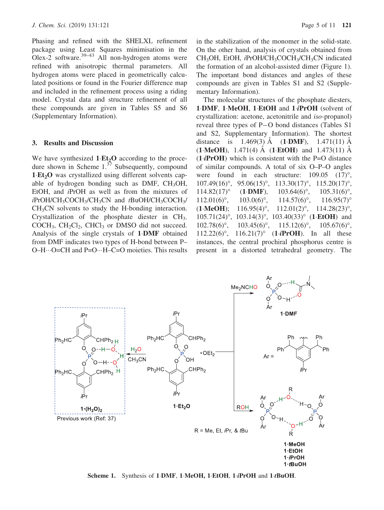Phasing and refined with the SHELXL refinement package using Least Squares minimisation in the Olex-2 software.<sup>39–43</sup> All non-hydrogen atoms were refined with anisotropic thermal parameters. All hydrogen atoms were placed in geometrically calculated positions or found in the Fourier difference map and included in the refinement process using a riding model. Crystal data and structure refinement of all these compounds are given in Tables S5 and S6 (Supplementary Information).

## 3. Results and Discussion

We have synthesized 1  $Et_2O$  according to the procedure shown in Scheme  $1.\overline{37}$  Subsequently, compound  $1 \text{ Et}_2$ O was crystallized using different solvents capable of hydrogen bonding such as  $DMF$ ,  $CH<sub>3</sub>OH$ , EtOH, and iPrOH as well as from the mixtures of  $iPrOH/CH_3COCH_3/CH_3CN$  and  $tBuOH/CH_3COCH_3/$ CH3CN solvents to study the H-bonding interaction. Crystallization of the phosphate diester in  $CH<sub>3</sub>$  $COCH<sub>3</sub>$ ,  $CH<sub>2</sub>Cl<sub>2</sub>$ ,  $CHCl<sub>3</sub>$  or DMSO did not succeed. Analysis of the single crystals of 1-DMF obtained from DMF indicates two types of H-bond between P–  $O-H \cdots O=CH$  and  $P=O \cdots H-C=O$  moieties. This results

in the stabilization of the monomer in the solid-state. On the other hand, analysis of crystals obtained from CH<sub>3</sub>OH, EtOH, *iPrOH/CH*<sub>3</sub>COCH<sub>3</sub>/CH<sub>3</sub>CN indicated the formation of an alcohol-assisted dimer (Figure 1). The important bond distances and angles of these compounds are given in Tables S1 and S2 (Supplementary Information).

The molecular structures of the phosphate diesters, 1-DMF, 1-MeOH, 1-EtOH and 1-iPrOH (solvent of crystallization: acetone, acetonitrile and iso-propanol) reveal three types of P-O bond distances (Tables S1 and S2, Supplementary Information). The shortest distance is  $1.469(3)$  Å  $(1-DMF)$ ,  $1.471(11)$  Å  $(1 \text{MeOH})$ , 1.471(4) Å (1 **EtOH**) and 1.473(11) Å  $(1$  *iPrOH*) which is consistent with the P=O distance of similar compounds. A total of six O–P–O angles were found in each structure:  $109.05$   $(17)^\circ$ ,  $107.49(16)$ °,  $95.06(15)$ °,  $113.30(17)$ °,  $115.20(17)$ °, 114.82(17)<sup>°</sup> (1·**DMF**),<br>112.01(6)<sup>°</sup>, 103.0(6)<sup>°</sup>,  $103.64(6)^\circ$ ,  $105.31(6)^\circ$ ,  $112.01(6)^\circ$ ,  $103.0(6)^\circ$ ,  $114.57(6)^\circ$ ,  $116.95(7)^\circ$  $(1 \cdot \text{MeOH})$ ;  $116.95(4)$ °,  $112.01(2)$ °,  $114.28(23)$ °,  $105.71(24)^\circ$ ,  $103.14(3)^\circ$ ,  $103.40(33)^\circ$  (1 **EtOH**) and  $102.78(6)$ °,  $103.45(6)$ °,  $115.12(6)$ °,  $105.67(6)$ °, 112.22(6)°, 116.21(7)° (1 $i$ PrOH). In all these instances, the central prochiral phosphorus centre is present in a distorted tetrahedral geometry. The



Scheme 1. Synthesis of 1 DMF, 1 MeOH, 1 EtOH, 1 iPrOH and 1 *t*BuOH.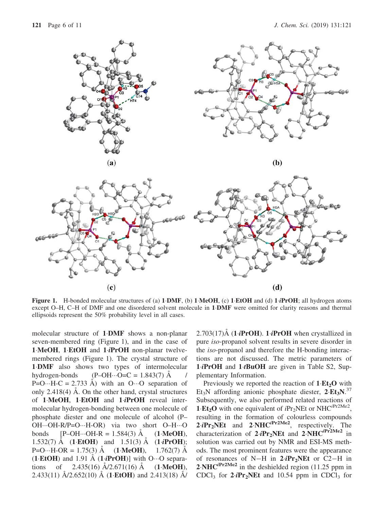

Figure 1. H-bonded molecular structures of (a) 1 DMF, (b) 1 MeOH, (c) 1 EtOH and (d) 1 *iPrOH*; all hydrogen atoms except O–H, C–H of DMF and one disordered solvent molecule in 1 DMF were omitted for clarity reasons and thermal ellipsoids represent the 50% probability level in all cases.

molecular structure of 1-DMF shows a non-planar seven-membered ring (Figure 1), and in the case of 1 MeOH, 1 EtOH and 1 iPrOH non-planar twelvemembered rings (Figure 1). The crystal structure of 1. DMF also shows two types of intermolecular hydrogen-bonds  $\therefore$ O=C = 1.843(7) Å /  $P=O \cdot H-C = 2.733 \text{ Å}$  with an O $\cdot \cdot \cdot O$  separation of only  $2.418(4)$  Å. On the other hand, crystal structures of 1 MeOH, 1 EtOH and 1 *iPrOH* reveal intermolecular hydrogen-bonding between one molecule of phosphate diester and one molecule of alcohol (P–  $OH \cdots OH-R/P=O \cdots H\cdot OR$  via two short  $O-H \cdots O$ bonds  $[$ P-OH $\cdots$ OH-R = 1.584(3)  $\AA$  (1  $(1 \cdot \text{MeOH})$ , 1.532(7)  $\AA$  (1 **EtOH**) and 1.51(3)  $\AA$  (1 *i***PrOH**);  $P=O \cdots H\text{-}OR = 1.75(3) \text{ Å}$  (1.  $1.762(7)$  Å  $(1 \text{ EtoH})$  and  $1.91 \text{ Å } (1 \cdot i \text{ProH})$ ] with O $\cdots$ O separations of 2.435(16)  $\AA$ /2.671(16)  $\AA$  $(1 \cdot \text{MeOH})$ ,  $2.433(11)$   $\text{Å}/2.652(10)$   $\text{Å}$  (1 **EtOH**) and 2.413(18)  $\text{Å}$ 

 $2.703(17)$ Å (1 *i*PrOH). 1 *iPrOH* when crystallized in pure iso-propanol solvent results in severe disorder in the iso-propanol and therefore the H-bonding interactions are not discussed. The metric parameters of 1 *iPrOH* and 1 *tBuOH* are given in Table S2, Supplementary Information.

Previously we reported the reaction of  $1 \text{·} Et_2O$  with Et<sub>3</sub>N affording anionic phosphate diester,  $2$ -Et<sub>3</sub>N.<sup>37</sup> Subsequently, we also performed related reactions of **1-Et<sub>2</sub>O** with one equivalent of  $iPr_2NEt$  or NHC<sup> $iPr_2Me2$ </sup>, resulting in the formation of colourless compounds  $2 \cdot iPr_2NEt$  and  $2 \cdot NHC^{iPr2Me2}$ , respectively. The characterization of  $2 \cdot iPr_2NEt$  and  $2 \cdot NHC^{iPr2Me2}$  in solution was carried out by NMR and ESI-MS methods. The most prominent features were the appearance of resonances of N-H in  $2 \cdot i Pr_2NEt$  or C2-H in  $2 \cdot \text{NHC}^{i\text{Pr2Me2}}$  in the deshielded region (11.25 ppm in CDCl<sub>3</sub> for  $2 \cdot i Pr_2NEt$  and 10.54 ppm in CDCl<sub>3</sub> for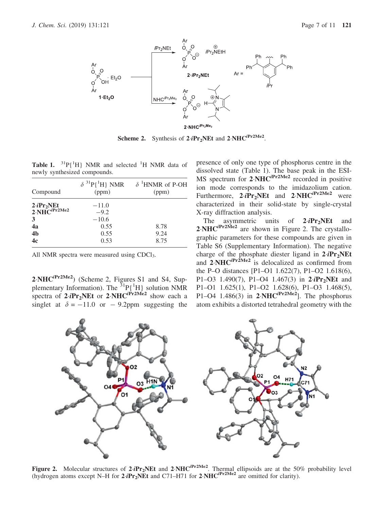

**Scheme 2.** Synthesis of  $2 \cdot iPr_2NEt$  and  $2 \cdot NHC^{iPr2Me2}$ .

**Table 1.**  ${}^{31}P\{{}^{1}H\}$  NMR and selected  ${}^{1}H$  NMR data of newly synthesized compounds.

| Compound                                             | $\delta$ <sup>31</sup> P{ <sup>1</sup> H} NMR<br>(ppm) | $\delta$ <sup>1</sup> HNMR of P-OH<br>(ppm) |
|------------------------------------------------------|--------------------------------------------------------|---------------------------------------------|
| $2 \cdot i Pr_2NEt$<br>2.NHC $i Pr_2Me_2$<br>3<br>4a | $-11.0$<br>$-9.2$<br>$-10.6$<br>0.55                   | 8.78                                        |
| 4 <sub>b</sub><br>4c                                 | 0.55<br>0.53                                           | 9.24<br>8.75                                |

All NMR spectra were measured using CDCl<sub>3</sub>.

 $2.\text{NHC}^{iPr2Me2}$ ) (Scheme 2, Figures S1 and S4, Supplementary Information). The  $^{31}P\{^{1}H\}$  solution NMR spectra of  $2 \cdot iPr_2NEt$  or  $2 \cdot NHC^{iPr_2Me2}$  show each a singlet at  $\delta = -11.0$  or  $-9.2$ ppm suggesting the

presence of only one type of phosphorus centre in the dissolved state (Table 1). The base peak in the ESI- $MS$  spectrum for  $2 \text{NHC}^{iPr2Me2}$  recorded in positive ion mode corresponds to the imidazolium cation. Furthermore,  $2 \cdot \hat{P}r_2NEt$  and  $2 \cdot NHC^{iPr2Me2}$  were characterized in their solid-state by single-crystal X-ray diffraction analysis.

The asymmetric units of  $2$ units of  $2 \cdot iPr_2NEt$  and  $2 \cdot \text{NHC}^{i\text{Pr2Me2}}$  are shown in Figure 2. The crystallographic parameters for these compounds are given in Table S6 (Supplementary Information). The negative charge of the phosphate diester ligand in  $2 \cdot iPr_2NEt$ and  $2 \text{~NHC}^{iPr2Me2}$  is delocalized as confirmed from the P–O distances [P1–O1 1.622(7), P1–O2 1.618(6), P1–O3 1.490(7), P1–O4 1.467(3) in  $2 \cdot i Pr_2NEt$  and P1–O1 1.625(1), P1–O2 1.628(6), P1–O3 1.468(5), P1–O4 1.486(3) in  $2$  NHC<sup>*i*Pr2Me2</sup>]. The phosphorus atom exhibits a distorted tetrahedral geometry with the



Figure 2. Molecular structures of  $2 \cdot iPr_2NEt$  and  $2 \cdot NHC^{iPr_2Me_2}$ . Thermal ellipsoids are at the 50% probability level (hydrogen atoms except N–H for  $2 \cdot iPr_2NEt$  and C71–H71 for  $2 \cdot NHC^{iPr2Me2}$  are omitted for clarity).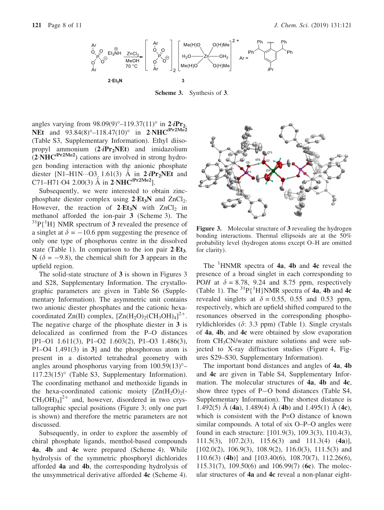

Scheme 3. Synthesis of 3.

angles varying from  $98.09(9)^\circ - 119.37(11)^\circ$  in  $2 \, iPr_2$ NEt and  $93.84(8)^\circ - 118.47(10)^\circ$  in  $2.\text{NHC}^{iPr2Me2}$ (Table S3, Supplementary Information). Ethyl diisopropyl ammonium  $(2 \cdot iPr_2NEt)$  and imidazolium  $(2 \text{ NHC}^{iPr2Me2})$  cations are involved in strong hydrogen bonding interaction with the anionic phosphate diester  $[N1-H1N...O3, 1.61(3)$  Å in 2-iPr<sub>2</sub>NEt and C71–H71-O4 2.00(3)  $\AA$  in 2-NHC<sup>*iPr2Me2*].</sup>

Subsequently, we were interested to obtain zincphosphate diester complex using  $2$  Et<sub>3</sub>N and ZnCl<sub>2</sub>. However, the reaction of  $2 \text{ Et}_3 \text{N}$  with  $ZnCl_2$  in methanol afforded the ion-pair 3 (Scheme 3). The  $3^{31}P\{^1H\}$  NMR spectrum of 3 revealed the presence of a singlet at  $\delta = -10.6$  ppm suggesting the presence of only one type of phosphorus centre in the dissolved state (Table 1). In comparison to the ion pair  $2 \text{ E} t_3$ . N ( $\delta$  = -9.8), the chemical shift for 3 appears in the upfield region.

The solid-state structure of 3 is shown in Figures 3 and S28, Supplementary Information. The crystallographic parameters are given in Table S6 (Supplementary Information). The asymmetric unit contains two anionic diester phosphates and the cationic hexacoordinated Zn(II) complex,  $[Zn(H_2O)_2(CH_3OH)_4]^{2+}$ . The negative charge of the phosphate diester in 3 is delocalized as confirmed from the P–O distances [P1–O1 1.611(3), P1–O2 1.603(2), P1–O3 1.486(3), P1–O4 1.491(3) in 3] and the phosphorous atom is present in a distorted tetrahedral geometry with angles around phosphorus varying from  $100.59(13)$ <sup>o</sup>- $117.23(15)^\circ$  (Table S3, Supplementary Information). The coordinating methanol and methoxide ligands in the hexa-coordinated cationic moiety  $[Zn(H_2O)_2(-)]$  $CH_3OH)_{4}$ <sup>2+</sup> and, however, disordered in two crystallographic special positions (Figure 3; only one part is shown) and therefore the metric parameters are not discussed.

Subsequently, in order to explore the assembly of chiral phosphate ligands, menthol-based compounds 4a, 4b and 4c were prepared (Scheme 4). While hydrolysis of the symmetric phosphoryl dichlorides afforded 4a and 4b, the corresponding hydrolysis of the unsymmetrical derivative afforded 4c (Scheme 4).



Figure 3. Molecular structure of 3 revealing the hydrogen bonding interactions. Thermal ellipsoids are at the 50% probability level (hydrogen atoms except O–H are omitted for clarity).

The  $1$ HNMR spectra of **4a**, **4b** and **4c** reveal the presence of a broad singlet in each corresponding to POH at  $\delta = 8.78$ , 9.24 and 8.75 ppm, respectively (Table 1). The  ${}^{31}P[{^1}H)NMR$  spectra of 4a, 4b and 4c revealed singlets at  $\delta = 0.55$ , 0.55 and 0.53 ppm, respectively, which are upfield shifted compared to the resonances observed in the corresponding phosphoryldichlorides ( $\delta$ : 3.3 ppm) (Table 1). Single crystals of 4a, 4b, and 4c were obtained by slow evaporation from CH<sub>3</sub>CN/water mixture solutions and were subjected to X-ray diffraction studies (Figure 4, Figures S29–S30, Supplementary Information).

The important bond distances and angles of 4a, 4b and 4c are given in Table S4, Supplementary Information. The molecular structures of 4a, 4b and 4c, show three types of P-O bond distances (Table S4, Supplementary Information). The shortest distance is 1.492(5) A (4a), 1.489(4) A (4b) and 1.495(1) A (4c), which is consistent with the P=O distance of known similar compounds. A total of six O–P–O angles were found in each structure: [101.9(3), 109.3(3), 110.4(3), 111.5(3), 107.2(3), 115.6(3) and 111.3(4) (4a)],  $[102.0(2), 106.9(3), 108.9(2), 116.0(3), 111.5(3)$  and 110.6(3) (4b)] and [103.40(6), 108.70(7), 112.26(6),  $115.31(7)$ ,  $109.50(6)$  and  $106.99(7)$  (6c). The molecular structures of 4a and 4c reveal a non-planar eight-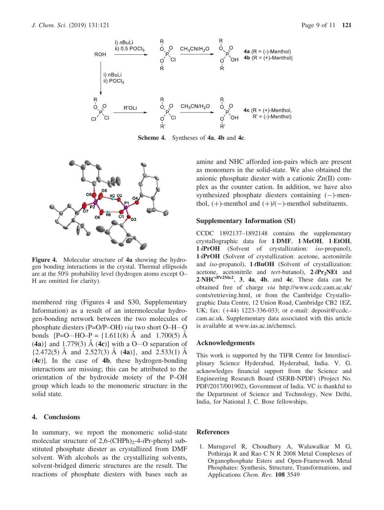

Scheme 4. Syntheses of 4a, 4b and 4c.



Figure 4. Molecular structure of 4a showing the hydrogen bonding interactions in the crystal. Thermal ellipsoids are at the 50% probability level (hydrogen atoms except O– H are omitted for clarity).

membered ring (Figures 4 and S30, Supplementary Information) as a result of an intermolecular hydrogen-bonding network between the two molecules of phosphate diesters (P=O/P–OH) via two short O–H…Q bonds  $[P=O \cdots HO-P = \{1.611(8) \text{ Å} \text{ and } 1.700(5) \text{ Å}\}$ (4a)} and 1.779(3) Å (4c)] with a O···O separation of  $\{2.472(5)$  Å and  $2.527(3)$  Å  $(4a)$ }, and  $2.533(1)$  Å (4c)]. In the case of 4b, these hydrogen-bonding interactions are missing; this can be attributed to the orientation of the hydroxide moiety of the P–OH group which leads to the monomeric structure in the solid state.

#### 4. Conclusions

In summary, we report the monomeric solid-state molecular structure of 2,6-(CHPh)<sub>2</sub>-4-*i*Pr-phenyl substituted phosphate diester as crystallized from DMF solvent. With alcohols as the crystallizing solvents, solvent-bridged dimeric structures are the result. The reactions of phosphate diesters with bases such as amine and NHC afforded ion-pairs which are present as monomers in the solid-state. We also obtained the anionic phosphate diester with a cationic Zn(II) complex as the counter cation. In addition, we have also synthesized phosphate diesters containing  $(-)$ -menthol,  $(+)$ -menthol and  $(+)$ / $(-)$ -menthol substituents.

### Supplementary Information (SI)

CCDC 1892137–1892148 contains the supplementary crystallographic data for 1-DMF, 1-MeOH, 1-EtOH, 1 *iPrOH* (Solvent of crystallization: *iso-propanol*), 1-iPrOH (Solvent of crystallization: acetone, acetonitrile and iso-propanol),  $1$ **tBuOH** (Solvent of crystallization: acetone, acetonitrile and *tert*-butanol),  $2 \cdot i Pr_2NEt$  and  $2 \text{~NHC}^{\text{iPr2Me2}}$ , 3, 4a, 4b, and 4c. These data can be obtained free of charge via http://www.ccdc.cam.ac.uk/ conts/retrieving.html, or from the Cambridge Crystallographic Data Centre, 12 Union Road, Cambridge CB2 1EZ, UK; fax:  $(+44)$  1223-336-033; or e-mail: deposit@ccdc.cam.ac.uk. Supplementary data associated with this article is available at www.ias.ac.in/chemsci.

#### Acknowledgements

This work is supported by the TIFR Centre for Interdisciplinary Science Hyderabad, Hyderabad, India. V. G. acknowledges financial support from the Science and Engineering Research Board (SERB-NPDF) (Project No. PDF/2017/001902), Government of India. VC is thankful to the Department of Science and Technology, New Delhi, India, for National J. C. Bose fellowships.

### References

1. Murugavel R, Choudhury A, Walawalkar M G, Pothiraja R and Rao C N R 2008 Metal Complexes of Organophosphate Esters and Open-Framework Metal Phosphates: Synthesis, Structure, Transformations, and Applications Chem. Rev. 108 3549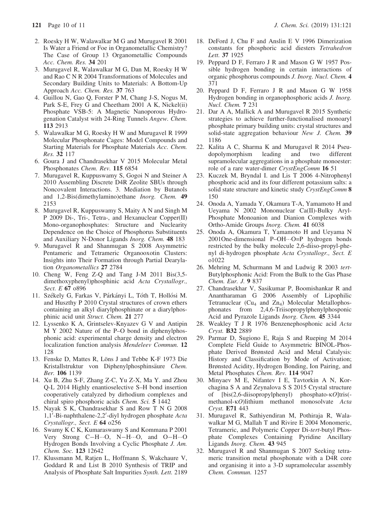- 2. Roesky H W, Walawalkar M G and Murugavel R 2001 Is Water a Friend or Foe in Organometallic Chemistry? The Case of Group 13 Organometallic Compounds Acc. Chem. Res. 34 201
- 3. Murugavel R, Walawalkar M G, Dan M, Roesky H W and Rao C N R 2004 Transformations of Molecules and Secondary Building Units to Materials: A Bottom-Up Approach Acc. Chem. Res. 37 763
- 4. Guillou N, Gao Q, Forster P M, Chang J-S, Nogus M, Park S-E, Frey G and Cheetham 2001 A K, Nickel(ii) Phosphate VSB-5: A Magnetic Nanoporous Hydrogenation Catalyst with 24-Ring Tunnels Angew. Chem. 113 2913
- 5. Walawalkar M G, Roesky H W and Murugavel R 1999 Molecular Phosphonate Cages: Model Compounds and Starting Materials for Phosphate Materials Acc. Chem. Res. 32 117
- 6. Goura J and Chandrasekhar V 2015 Molecular Metal Phosphonates Chem. Rev. 115 6854
- 7. Murugavel R, Kuppuswamy S, Gogoi N and Steiner A 2010 Assembling Discrete D4R Zeolite SBUs through Noncovalent Interactions. 3. Mediation by Butanols and 1,2-Bis(dimethylamino)ethane Inorg. Chem. 49 2153
- 8. Murugavel R, Kuppuswamy S, Maity A N and Singh M P 2009 Di-, Tri-, Tetra-, and Hexanuclear Copper(II) Mono-organophosphates: Structure and Nuclearity Dependence on the Choice of Phosphorus Substituents and Auxiliary N-Donor Ligands Inorg. Chem. 48 183
- 9. Murugavel R and Shanmugan S 2008 Asymmetric Pentameric and Tetrameric Organooxotin Clusters: Insights into Their Formation through Partial Dearylation Organometallics 27 2784
- 10. Cheng W, Feng Z-Q and Tang J-M 2011 Bis(3,5 dimethoxyphenyl)phosphinic acid Acta Crystallogr., Sect. E 67 o896
- 11. Székely G, Farkas V, Párkányi L, Tóth T, Hollósi M. and Huszthy P 2010 Crystal structures of crown ethers containing an alkyl diarylphosphinate or a diarylphosphinic acid unit Struct. Chem. 21 277
- 12. Lyssenko K A, Grintselev-Knyazev G V and Antipin M Y 2002 Nature of the P–O bond in diphenylphosphonic acid: experimental charge density and electron localization function analysis Mendeleev Commun. 12 128
- 13. Fenske D, Mattes R, Löns J and Tebbe K-F 1973 Die Kristallstruktur von Diphenylphosphinsäure Chem. Ber. 106 1139
- 14. Xu B, Zhu S-F, Zhang Z-C, Yu Z-X, Ma Y. and Zhou Q-L 2014 Highly enantioselective S–H bond insertion cooperatively catalyzed by dirhodium complexes and chiral spiro phosphoric acids Chem. Sci. 5 1442
- 15. Nayak S K, Chandrasekhar S and Row T N G 2008 1,1'-Bi-naphthalene-2,2'-diyl hydrogen phosphate Acta Crystallogr., Sect. E 64 o256
- 16. Swamy K C K, Kumaraswamy S and Kommana P 2001 Very Strong  $C-H\cdots O$ ,  $N-H\cdots O$ , and  $O-H\cdots O$ Hydrogen Bonds Involving a Cyclic Phosphate J. Am. Chem. Soc. 123 12642
- 17. Klussmann M, Ratjen L, Hoffmann S, Wakchaure V, Goddard R and List B 2010 Synthesis of TRIP and Analysis of Phosphate Salt Impurities Synth. Lett. 2189
- 18. DeFord J, Chu F and Anslin E V 1996 Dimerization constants for phosphoric acid diesters Tetrahedron Lett. 37 1925
- 19. Peppard D F, Ferraro J R and Mason G W 1957 Possible hydrogen bonding in certain interactions of organic phosphorus compounds J. Inorg. Nucl. Chem. 4 371
- 20. Peppard D F, Ferraro J R and Mason G W 1958 Hydrogen bonding in organophosphoric acids J. Inorg. Nucl. Chem. 7 231
- 21. Dar A A, Mallick A and Murugavel R 2015 Synthetic strategies to achieve further-functionalised monoaryl phosphate primary building units: crystal structures and solid-state aggregation behaviour New J. Chem. 39 1186
- 22. Kalita A C, Sharma K and Murugavel R 2014 Pseudopolymorphism leading and two different supramolecular aggregations in a phosphate monoester: role of a rare water-dimer CrystEngComm 16 51
- 23. Kuczek M, Bryndal I. and Lis T 2006 4-Nitrophenyl phosphoric acid and its four different potassium salts: a solid state structure and kinetic study CrystEngComm 8 150
- 24. Onoda A, Yamada Y, Okamura T-A, Yamamoto H and Ueyama N 2002 Mononuclear Ca(II)-Bulky Aryl-Phosphate Monoanion and Dianion Complexes with Ortho-Amide Groups Inorg. Chem. 41 6038
- 25. Onoda A, Okamura T, Yamamoto H and Ueyama N 2001One-dimensional P–OH---O=P hydrogen bonds restricted by the bulky molecule 2,6-diiso-propyl-phenyl di-hydrogen phosphate Acta Crystallogr., Sect. E o1022
- 26. Mehring M, Schurmann M and Ludwig R 2003 tert-Butylphosphonic Acid: From the Bulk to the Gas Phase Chem. Eur. J. 9 837
- 27. Chandrasekhar V, Sasikumar P, Boomishankar R and Anantharaman G 2006 Assembly of Lipophilic Tetranuclear (Cu<sub>4</sub> and Zn<sub>4</sub>) Molecular Metallophos-<br>phonates from 2,4,6-Triisopropylphenylphosponic  $from$  2,4,6-Triisopropylphenylphosponic Acid and Pyrazole Ligands Inorg. Chem. 45 3344
- 28. Weakley T J R 1976 Benzenephosphonic acid Acta Cryst. B32 2889
- 29. Parmar D, Sugiono E, Raja S and Rueping M 2014 Complete Field Guide to Asymmetric BINOL-Phosphate Derived Brønsted Acid and Metal Catalysis: History and Classification by Mode of Activation; Brønsted Acidity, Hydrogen Bonding, Ion Pairing, and Metal Phosphates Chem. Rev. 114 9047
- 30. Minyaev M E, Nifantev I E, Tavtorkin A N, Korchagina S A and Zeynalova S S 2015 Crystal structure of  $[bis(2,6-diisopropylphenyl)$  phosphato- $\kappa$ O]tris(methanol- $\kappa$ O)lithium methanol monosolvate Acta Cryst. E71 443
- 31. Murugavel R, Sathiyendiran M, Pothiraja R, Walawalkar M G, Mallah T and Rivire E 2004 Monomeric, Tetrameric, and Polymeric Copper Di-tert-butyl Phosphate Complexes Containing Pyridine Ancillary Ligands Inorg. Chem. 43 945
- 32. Murugavel R and Shanmugan S 2007 Seeking tetrameric transition metal phosphonate with a D4R core and organising it into a 3-D supramolecular assembly Chem. Commun. 1257